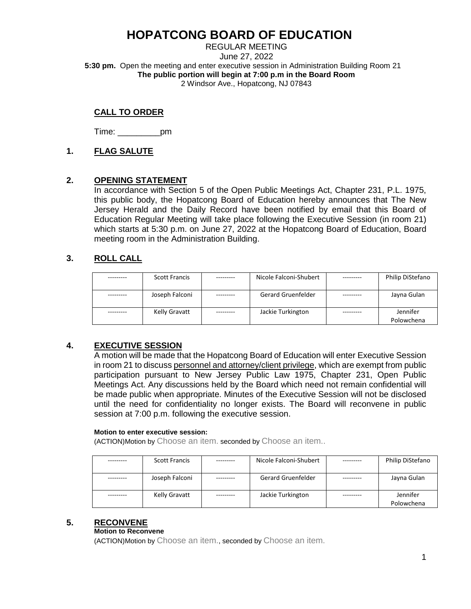REGULAR MEETING June 27, 2022 **5:30 pm.** Open the meeting and enter executive session in Administration Building Room 21 **The public portion will begin at 7:00 p.m in the Board Room** 2 Windsor Ave., Hopatcong, NJ 07843

### **CALL TO ORDER**

Time: \_\_\_\_\_\_\_\_\_pm

### **1. FLAG SALUTE**

### **2. OPENING STATEMENT**

In accordance with Section 5 of the Open Public Meetings Act, Chapter 231, P.L. 1975, this public body, the Hopatcong Board of Education hereby announces that The New Jersey Herald and the Daily Record have been notified by email that this Board of Education Regular Meeting will take place following the Executive Session (in room 21) which starts at 5:30 p.m. on June 27, 2022 at the Hopatcong Board of Education, Board meeting room in the Administration Building.

### **3. ROLL CALL**

| <b>Scott Francis</b> | Nicole Falconi-Shubert | Philip DiStefano |
|----------------------|------------------------|------------------|
|                      |                        |                  |
| Joseph Falconi       | Gerard Gruenfelder     | Jayna Gulan      |
|                      |                        |                  |
| Kelly Gravatt        | Jackie Turkington      | Jennifer         |
|                      |                        | Polowchena       |

### **4. EXECUTIVE SESSION**

A motion will be made that the Hopatcong Board of Education will enter Executive Session in room 21 to discuss personnel and attorney/client privilege, which are exempt from public participation pursuant to New Jersey Public Law 1975, Chapter 231, Open Public Meetings Act. Any discussions held by the Board which need not remain confidential will be made public when appropriate. Minutes of the Executive Session will not be disclosed until the need for confidentiality no longer exists. The Board will reconvene in public session at 7:00 p.m. following the executive session.

#### **Motion to enter executive session:**

(ACTION)Motion by Choose an item. seconded by Choose an item..

| <b>Scott Francis</b> | Nicole Falconi-Shubert    | -------- | Philip DiStefano |
|----------------------|---------------------------|----------|------------------|
|                      |                           |          |                  |
| Joseph Falconi       | <b>Gerard Gruenfelder</b> |          | Jayna Gulan      |
|                      |                           |          |                  |
| Kelly Gravatt        | Jackie Turkington         |          | Jennifer         |
|                      |                           |          | Polowchena       |

### **5. RECONVENE**

#### **Motion to Reconvene**

(ACTION)Motion by Choose an item., seconded by Choose an item.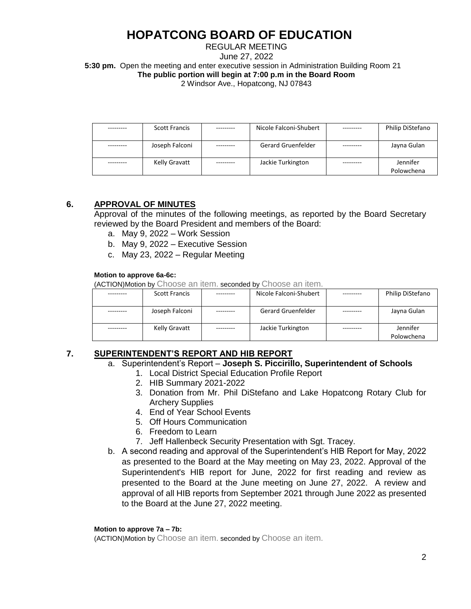### REGULAR MEETING June 27, 2022 **5:30 pm.** Open the meeting and enter executive session in Administration Building Room 21 **The public portion will begin at 7:00 p.m in the Board Room** 2 Windsor Ave., Hopatcong, NJ 07843

| <b>Scott Francis</b> | Nicole Falconi-Shubert | Philip DiStefano |
|----------------------|------------------------|------------------|
|                      |                        |                  |
| Joseph Falconi       | Gerard Gruenfelder     | Jayna Gulan      |
|                      |                        |                  |
| Kelly Gravatt        | Jackie Turkington      | Jennifer         |
|                      |                        | Polowchena       |

### **6. APPROVAL OF MINUTES**

Approval of the minutes of the following meetings, as reported by the Board Secretary reviewed by the Board President and members of the Board:

- a. May 9, 2022 Work Session
- b. May 9, 2022 Executive Session
- c. May 23, 2022 Regular Meeting

#### **Motion to approve 6a-6c:**

(ACTION)Motion by Choose an item. seconded by Choose an item.

| <b>Scott Francis</b> |          | Nicole Falconi-Shubert |          | Philip DiStefano |
|----------------------|----------|------------------------|----------|------------------|
|                      |          |                        |          |                  |
| Joseph Falconi       | -------- | Gerard Gruenfelder     | -------- | Jayna Gulan      |
|                      |          |                        |          |                  |
| Kelly Gravatt        |          | Jackie Turkington      |          | Jennifer         |
|                      |          |                        |          | Polowchena       |

### **7. SUPERINTENDENT'S REPORT AND HIB REPORT**

- a. Superintendent's Report **Joseph S. Piccirillo, Superintendent of Schools**
	- 1. Local District Special Education Profile Report
	- 2. HIB Summary 2021-2022
	- 3. Donation from Mr. Phil DiStefano and Lake Hopatcong Rotary Club for Archery Supplies
	- 4. End of Year School Events
	- 5. Off Hours Communication
	- 6. Freedom to Learn
	- 7. Jeff Hallenbeck Security Presentation with Sgt. Tracey.
- b. A second reading and approval of the Superintendent's HIB Report for May, 2022 as presented to the Board at the May meeting on May 23, 2022. Approval of the Superintendent's HIB report for June, 2022 for first reading and review as presented to the Board at the June meeting on June 27, 2022. A review and approval of all HIB reports from September 2021 through June 2022 as presented to the Board at the June 27, 2022 meeting.

#### **Motion to approve 7a – 7b:**

(ACTION)Motion by Choose an item. seconded by Choose an item.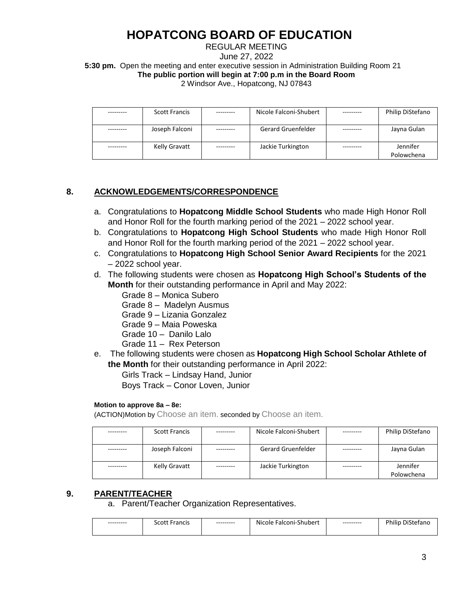### REGULAR MEETING

June 27, 2022

**5:30 pm.** Open the meeting and enter executive session in Administration Building Room 21 **The public portion will begin at 7:00 p.m in the Board Room**

2 Windsor Ave., Hopatcong, NJ 07843

| <b>Scott Francis</b> | Nicole Falconi-Shubert    |         | Philip DiStefano       |
|----------------------|---------------------------|---------|------------------------|
| Joseph Falconi       | <b>Gerard Gruenfelder</b> | ------- | Jayna Gulan            |
| Kelly Gravatt        | Jackie Turkington         |         | Jennifer<br>Polowchena |

## **8. ACKNOWLEDGEMENTS/CORRESPONDENCE**

- a. Congratulations to **Hopatcong Middle School Students** who made High Honor Roll and Honor Roll for the fourth marking period of the 2021 – 2022 school year.
- b. Congratulations to **Hopatcong High School Students** who made High Honor Roll and Honor Roll for the fourth marking period of the 2021 – 2022 school year.
- c. Congratulations to **Hopatcong High School Senior Award Recipients** for the 2021 – 2022 school year.
- d. The following students were chosen as **Hopatcong High School's Students of the Month** for their outstanding performance in April and May 2022:
	- Grade 8 Monica Subero
	- Grade 8 Madelyn Ausmus
	- Grade 9 Lizania Gonzalez
	- Grade 9 Maia Poweska
	- Grade 10 Danilo Lalo
	- Grade 11 Rex Peterson
- e. The following students were chosen as **Hopatcong High School Scholar Athlete of the Month** for their outstanding performance in April 2022:

Girls Track – Lindsay Hand, Junior

Boys Track – Conor Loven, Junior

### **Motion to approve 8a – 8e:**

(ACTION)Motion by Choose an item. seconded by Choose an item.

| <b>Scott Francis</b> | Nicole Falconi-Shubert    | Philip DiStefano       |
|----------------------|---------------------------|------------------------|
| Joseph Falconi       | <b>Gerard Gruenfelder</b> | Jayna Gulan            |
| Kelly Gravatt        | Jackie Turkington         | Jennifer<br>Polowchena |

### **9. PARENT/TEACHER**

a. Parent/Teacher Organization Representatives.

| --------- | $\sim$ cott $\sim$<br>50000<br>rancis | --------- | Nicole<br>Falconi-Shubert | --------- | nL<br>Tano |
|-----------|---------------------------------------|-----------|---------------------------|-----------|------------|
|           |                                       |           |                           |           |            |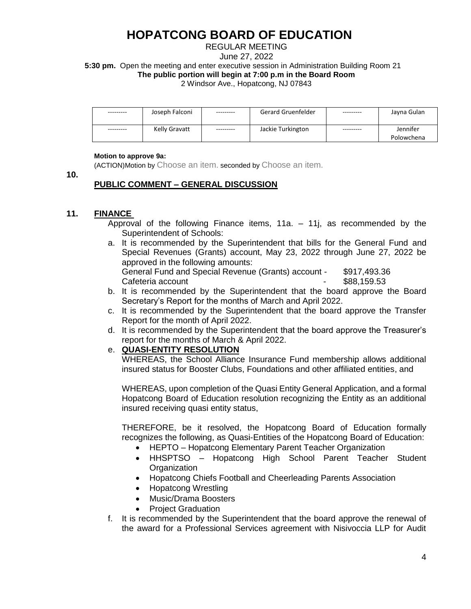### REGULAR MEETING

June 27, 2022

**5:30 pm.** Open the meeting and enter executive session in Administration Building Room 21 **The public portion will begin at 7:00 p.m in the Board Room**

2 Windsor Ave., Hopatcong, NJ 07843

| --------- | Joseph Falconi | --------- | Gerard Gruenfelder | -------- | Jayna Gulan            |
|-----------|----------------|-----------|--------------------|----------|------------------------|
| --------  | Kelly Gravatt  | --------- | Jackie Turkington  |          | Jennifer<br>Polowchena |

#### **Motion to approve 9a:**

(ACTION)Motion by Choose an item. seconded by Choose an item.

**10.**

### **PUBLIC COMMENT – GENERAL DISCUSSION**

### **11. FINANCE**

- Approval of the following Finance items,  $11a 11j$ , as recommended by the Superintendent of Schools:
- a. It is recommended by the Superintendent that bills for the General Fund and Special Revenues (Grants) account, May 23, 2022 through June 27, 2022 be approved in the following amounts: General Fund and Special Revenue (Grants) account - \$917,493.36 Cafeteria account and the state of the state of the state of the state of the state of the state of the state o
- b. It is recommended by the Superintendent that the board approve the Board Secretary's Report for the months of March and April 2022.
- c. It is recommended by the Superintendent that the board approve the Transfer Report for the month of April 2022.
- d. It is recommended by the Superintendent that the board approve the Treasurer's report for the months of March & April 2022.

### e. **QUASI-ENTITY RESOLUTION**

WHEREAS, the School Alliance Insurance Fund membership allows additional insured status for Booster Clubs, Foundations and other affiliated entities, and

WHEREAS, upon completion of the Quasi Entity General Application, and a formal Hopatcong Board of Education resolution recognizing the Entity as an additional insured receiving quasi entity status,

THEREFORE, be it resolved, the Hopatcong Board of Education formally recognizes the following, as Quasi-Entities of the Hopatcong Board of Education:

- HEPTO Hopatcong Elementary Parent Teacher Organization
- HHSPTSO Hopatcong High School Parent Teacher Student **Organization**
- Hopatcong Chiefs Football and Cheerleading Parents Association
- Hopatcong Wrestling
- Music/Drama Boosters
- Project Graduation
- f. It is recommended by the Superintendent that the board approve the renewal of the award for a Professional Services agreement with Nisivoccia LLP for Audit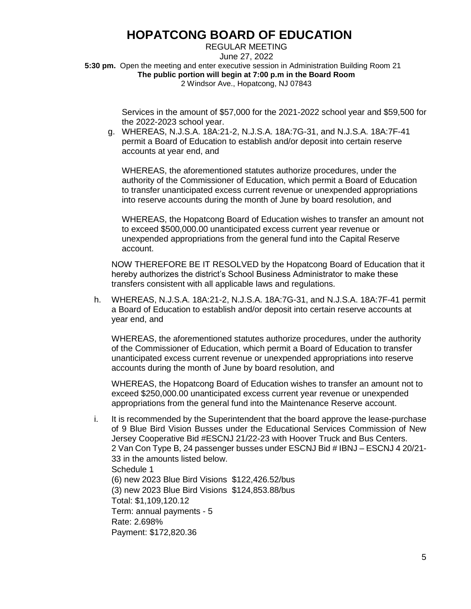#### REGULAR MEETING June 27, 2022 **5:30 pm.** Open the meeting and enter executive session in Administration Building Room 21 **The public portion will begin at 7:00 p.m in the Board Room** 2 Windsor Ave., Hopatcong, NJ 07843

Services in the amount of \$57,000 for the 2021-2022 school year and \$59,500 for the 2022-2023 school year.

g. WHEREAS, N.J.S.A. 18A:21-2, N.J.S.A. 18A:7G-31, and N.J.S.A. 18A:7F-41 permit a Board of Education to establish and/or deposit into certain reserve accounts at year end, and

WHEREAS, the aforementioned statutes authorize procedures, under the authority of the Commissioner of Education, which permit a Board of Education to transfer unanticipated excess current revenue or unexpended appropriations into reserve accounts during the month of June by board resolution, and

WHEREAS, the Hopatcong Board of Education wishes to transfer an amount not to exceed \$500,000.00 unanticipated excess current year revenue or unexpended appropriations from the general fund into the Capital Reserve account.

NOW THEREFORE BE IT RESOLVED by the Hopatcong Board of Education that it hereby authorizes the district's School Business Administrator to make these transfers consistent with all applicable laws and regulations.

h. WHEREAS, N.J.S.A. 18A:21-2, N.J.S.A. 18A:7G-31, and N.J.S.A. 18A:7F-41 permit a Board of Education to establish and/or deposit into certain reserve accounts at year end, and

WHEREAS, the aforementioned statutes authorize procedures, under the authority of the Commissioner of Education, which permit a Board of Education to transfer unanticipated excess current revenue or unexpended appropriations into reserve accounts during the month of June by board resolution, and

WHEREAS, the Hopatcong Board of Education wishes to transfer an amount not to exceed \$250,000.00 unanticipated excess current year revenue or unexpended appropriations from the general fund into the Maintenance Reserve account.

i. It is recommended by the Superintendent that the board approve the lease-purchase of 9 Blue Bird Vision Busses under the Educational Services Commission of New Jersey Cooperative Bid #ESCNJ 21/22-23 with Hoover Truck and Bus Centers. 2 Van Con Type B, 24 passenger busses under ESCNJ Bid # IBNJ – ESCNJ 4 20/21- 33 in the amounts listed below. Schedule 1 (6) new 2023 Blue Bird Visions \$122,426.52/bus (3) new 2023 Blue Bird Visions \$124,853.88/bus Total: \$1,109,120.12 Term: annual payments - 5 Rate: 2.698% Payment: \$172,820.36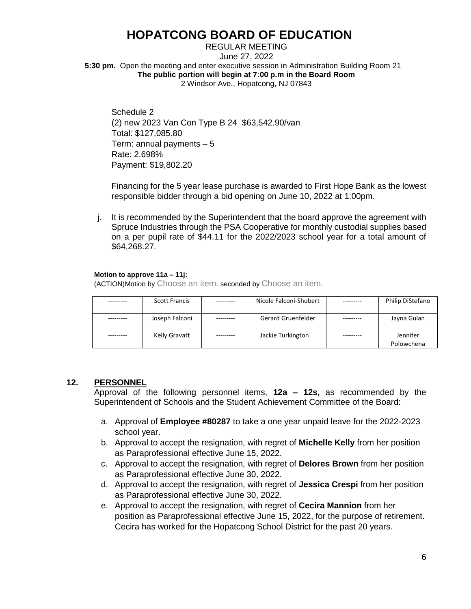REGULAR MEETING June 27, 2022 **5:30 pm.** Open the meeting and enter executive session in Administration Building Room 21 **The public portion will begin at 7:00 p.m in the Board Room** 2 Windsor Ave., Hopatcong, NJ 07843

Schedule 2 (2) new 2023 Van Con Type B 24 \$63,542.90/van Total: \$127,085.80 Term: annual payments – 5 Rate: 2.698% Payment: \$19,802.20

Financing for the 5 year lease purchase is awarded to First Hope Bank as the lowest responsible bidder through a bid opening on June 10, 2022 at 1:00pm.

j. It is recommended by the Superintendent that the board approve the agreement with Spruce Industries through the PSA Cooperative for monthly custodial supplies based on a per pupil rate of \$44.11 for the 2022/2023 school year for a total amount of \$64,268.27.

#### **Motion to approve 11a – 11j:**

(ACTION)Motion by Choose an item. seconded by Choose an item.

| <b>Scott Francis</b> | Nicole Falconi-Shubert    | Philip DiStefano       |
|----------------------|---------------------------|------------------------|
|                      |                           |                        |
| Joseph Falconi       | <b>Gerard Gruenfelder</b> | Jayna Gulan            |
| Kelly Gravatt        | Jackie Turkington         | Jennifer<br>Polowchena |

### **12. PERSONNEL**

Approval of the following personnel items, **12a – 12s,** as recommended by the Superintendent of Schools and the Student Achievement Committee of the Board:

- a. Approval of **Employee #80287** to take a one year unpaid leave for the 2022-2023 school year.
- b. Approval to accept the resignation, with regret of **Michelle Kelly** from her position as Paraprofessional effective June 15, 2022.
- c. Approval to accept the resignation, with regret of **Delores Brown** from her position as Paraprofessional effective June 30, 2022.
- d. Approval to accept the resignation, with regret of **Jessica Crespi** from her position as Paraprofessional effective June 30, 2022.
- e. Approval to accept the resignation, with regret of **Cecira Mannion** from her position as Paraprofessional effective June 15, 2022, for the purpose of retirement. Cecira has worked for the Hopatcong School District for the past 20 years.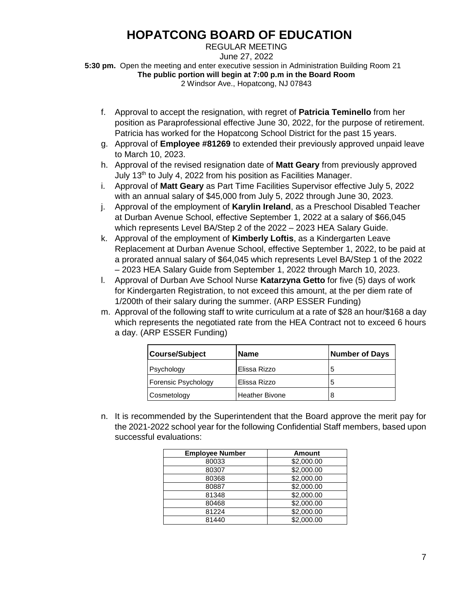REGULAR MEETING

June 27, 2022

**5:30 pm.** Open the meeting and enter executive session in Administration Building Room 21 **The public portion will begin at 7:00 p.m in the Board Room**

2 Windsor Ave., Hopatcong, NJ 07843

- f. Approval to accept the resignation, with regret of **Patricia Teminello** from her position as Paraprofessional effective June 30, 2022, for the purpose of retirement. Patricia has worked for the Hopatcong School District for the past 15 years.
- g. Approval of **Employee #81269** to extended their previously approved unpaid leave to March 10, 2023.
- h. Approval of the revised resignation date of **Matt Geary** from previously approved July 13<sup>th</sup> to July 4, 2022 from his position as Facilities Manager.
- i. Approval of **Matt Geary** as Part Time Facilities Supervisor effective July 5, 2022 with an annual salary of \$45,000 from July 5, 2022 through June 30, 2023.
- j. Approval of the employment of **Karylin Ireland**, as a Preschool Disabled Teacher at Durban Avenue School, effective September 1, 2022 at a salary of \$66,045 which represents Level BA/Step 2 of the 2022 – 2023 HEA Salary Guide.
- k. Approval of the employment of **Kimberly Loftis**, as a Kindergarten Leave Replacement at Durban Avenue School, effective September 1, 2022, to be paid at a prorated annual salary of \$64,045 which represents Level BA/Step 1 of the 2022 – 2023 HEA Salary Guide from September 1, 2022 through March 10, 2023.
- l. Approval of Durban Ave School Nurse **Katarzyna Getto** for five (5) days of work for Kindergarten Registration, to not exceed this amount, at the per diem rate of 1/200th of their salary during the summer. (ARP ESSER Funding)
- m. Approval of the following staff to write curriculum at a rate of \$28 an hour/\$168 a day which represents the negotiated rate from the HEA Contract not to exceed 6 hours a day. (ARP ESSER Funding)

| Course/Subject      | <b>Name</b>           | Number of Days |
|---------------------|-----------------------|----------------|
| Psychology          | Elissa Rizzo          |                |
| Forensic Psychology | Elissa Rizzo          |                |
| Cosmetology         | <b>Heather Bivone</b> |                |

n. It is recommended by the Superintendent that the Board approve the merit pay for the 2021-2022 school year for the following Confidential Staff members, based upon successful evaluations:

| <b>Employee Number</b> | <b>Amount</b> |
|------------------------|---------------|
| 80033                  | \$2,000.00    |
| 80307                  | \$2,000.00    |
| 80368                  | \$2,000.00    |
| 80887                  | \$2,000.00    |
| 81348                  | \$2,000.00    |
| 80468                  | \$2,000.00    |
| 81224                  | \$2,000.00    |
| 81440                  | \$2,000.00    |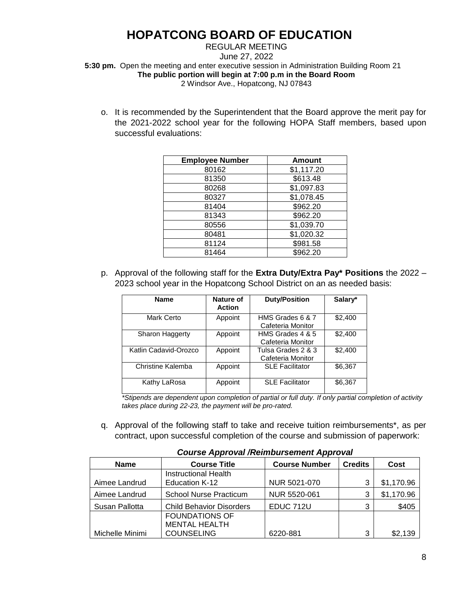REGULAR MEETING June 27, 2022 **5:30 pm.** Open the meeting and enter executive session in Administration Building Room 21 **The public portion will begin at 7:00 p.m in the Board Room** 2 Windsor Ave., Hopatcong, NJ 07843

o. It is recommended by the Superintendent that the Board approve the merit pay for the 2021-2022 school year for the following HOPA Staff members, based upon successful evaluations:

| <b>Employee Number</b> | <b>Amount</b> |
|------------------------|---------------|
| 80162                  | \$1,117.20    |
| 81350                  | \$613.48      |
| 80268                  | \$1,097.83    |
| 80327                  | \$1,078.45    |
| 81404                  | \$962.20      |
| 81343                  | \$962.20      |
| 80556                  | \$1,039.70    |
| 80481                  | \$1,020.32    |
| 81124                  | \$981.58      |
| 81464                  | \$962.20      |

p. Approval of the following staff for the **Extra Duty/Extra Pay\* Positions** the 2022 – 2023 school year in the Hopatcong School District on an as needed basis:

| <b>Name</b>           | Nature of<br><b>Action</b> | <b>Duty/Position</b>                    | Salary* |
|-----------------------|----------------------------|-----------------------------------------|---------|
| Mark Certo            | Appoint                    | HMS Grades 6 & 7<br>Cafeteria Monitor   | \$2,400 |
| Sharon Haggerty       | Appoint                    | HMS Grades 4 & 5<br>Cafeteria Monitor   | \$2,400 |
| Katlin Cadavid-Orozco | Appoint                    | Tulsa Grades 2 & 3<br>Cafeteria Monitor | \$2,400 |
| Christine Kalemba     | Appoint                    | <b>SLE Facilitator</b>                  | \$6,367 |
| Kathy LaRosa          | Appoint                    | <b>SLE Facilitator</b>                  | \$6,367 |

*\*Stipends are dependent upon completion of partial or full duty. If only partial completion of activity takes place during 22-23, the payment will be pro-rated.*

q. Approval of the following staff to take and receive tuition reimbursements\*, as per contract, upon successful completion of the course and submission of paperwork:

| <b>Name</b>     | <b>Course Title</b>             |              | <b>Credits</b> | Cost       |
|-----------------|---------------------------------|--------------|----------------|------------|
|                 | <b>Instructional Health</b>     |              |                |            |
| Aimee Landrud   | Education K-12                  | NUR 5021-070 |                | \$1,170.96 |
| Aimee Landrud   | <b>School Nurse Practicum</b>   | NUR 5520-061 |                | \$1,170.96 |
| Susan Pallotta  | <b>Child Behavior Disorders</b> | EDUC 712U    | 3              | \$405      |
|                 | <b>FOUNDATIONS OF</b>           |              |                |            |
|                 | <b>MENTAL HEALTH</b>            |              |                |            |
| Michelle Minimi | <b>COUNSELING</b>               | 6220-881     | 3              | \$2,139    |

#### *Course Approval /Reimbursement Approval*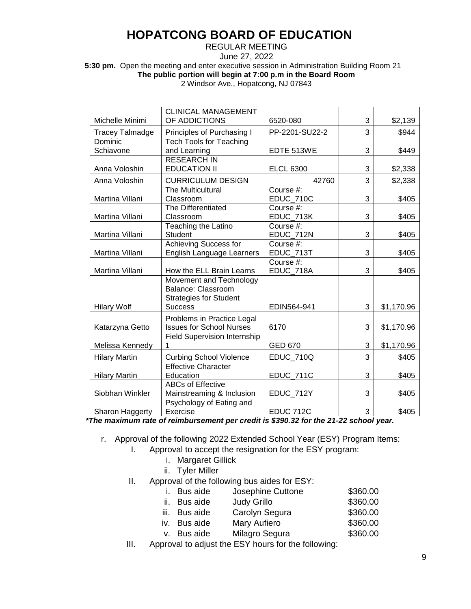### REGULAR MEETING

June 27, 2022

**5:30 pm.** Open the meeting and enter executive session in Administration Building Room 21 **The public portion will begin at 7:00 p.m in the Board Room**

2 Windsor Ave., Hopatcong, NJ 07843

| <b>CLINICAL MANAGEMENT</b> |                                     |                        |   |            |
|----------------------------|-------------------------------------|------------------------|---|------------|
| Michelle Minimi            | OF ADDICTIONS                       | 6520-080               | 3 | \$2,139    |
| <b>Tracey Talmadge</b>     | Principles of Purchasing I          | PP-2201-SU22-2         | 3 | \$944      |
| Dominic                    | <b>Tech Tools for Teaching</b>      |                        |   |            |
| Schiavone                  | and Learning                        | EDTE 513WE             | 3 | \$449      |
|                            | <b>RESEARCH IN</b>                  |                        |   |            |
| Anna Voloshin              | <b>EDUCATION II</b>                 | <b>ELCL 6300</b>       | 3 | \$2,338    |
| Anna Voloshin              | <b>CURRICULUM DESIGN</b>            | 42760                  | 3 | \$2,338    |
| Martina Villani            | The Multicultural<br>Classroom      | Course #:<br>EDUC 710C | 3 | \$405      |
|                            | The Differentiated                  | Course #:              |   |            |
| Martina Villani            | Classroom                           | EDUC 713K              | 3 | \$405      |
|                            | Teaching the Latino                 | Course #:              |   |            |
| Martina Villani            | <b>Student</b>                      | EDUC_712N              | 3 | \$405      |
|                            | Achieving Success for               | Course #:              |   |            |
| Martina Villani            | English Language Learners           | EDUC_713T              | 3 | \$405      |
|                            |                                     | Course #:              |   |            |
| Martina Villani            | How the ELL Brain Learns            | EDUC 718A              | 3 | \$405      |
|                            | Movement and Technology             |                        |   |            |
|                            | Balance: Classroom                  |                        |   |            |
|                            | <b>Strategies for Student</b>       |                        |   |            |
| <b>Hilary Wolf</b>         | <b>Success</b>                      | EDIN564-941            | 3 | \$1,170.96 |
|                            | Problems in Practice Legal          |                        |   |            |
| Katarzyna Getto            | <b>Issues for School Nurses</b>     | 6170                   | 3 | \$1,170.96 |
|                            | <b>Field Supervision Internship</b> |                        |   |            |
| Melissa Kennedy            |                                     | <b>GED 670</b>         | 3 | \$1,170.96 |
| <b>Hilary Martin</b>       | <b>Curbing School Violence</b>      | <b>EDUC_710Q</b>       | 3 | \$405      |
|                            | <b>Effective Character</b>          |                        |   |            |
| <b>Hilary Martin</b>       | Education                           | EDUC_711C              | 3 | \$405      |
|                            | <b>ABCs of Effective</b>            |                        |   |            |
| Siobhan Winkler            | Mainstreaming & Inclusion           | <b>EDUC_712Y</b>       | 3 | \$405      |
|                            | Psychology of Eating and            |                        |   |            |
| Sharon Haggerty            | Exercise                            | <b>EDUC 712C</b><br>3  |   | \$405      |

 *\*The maximum rate of reimbursement per credit is \$390.32 for the 21-22 school year.*

r. Approval of the following 2022 Extended School Year (ESY) Program Items:

- I. Approval to accept the resignation for the ESY program:
	- i. Margaret Gillick
	- ii. Tyler Miller
- II. Approval of the following bus aides for ESY:
	- i. Bus aide Josephine Cuttone \$360.00
	- ii. Bus aide Judy Grillo **\$360.00** iii. Bus aide Carolyn Segura **\$360.00**
	- iv. Bus aide Mary Aufiero **\$360.00**
	- v. Bus aide Milagro Segura  $$360.00$
- III. Approval to adjust the ESY hours for the following: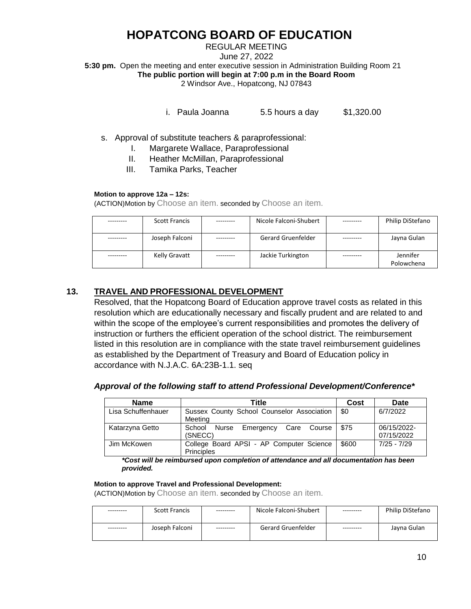REGULAR MEETING June 27, 2022 **5:30 pm.** Open the meeting and enter executive session in Administration Building Room 21 **The public portion will begin at 7:00 p.m in the Board Room** 2 Windsor Ave., Hopatcong, NJ 07843

i. Paula Joanna 5.5 hours a day \$1,320.00

### s. Approval of substitute teachers & paraprofessional:

- I. Margarete Wallace, Paraprofessional
- II. Heather McMillan, Paraprofessional
- III. Tamika Parks, Teacher

#### **Motion to approve 12a – 12s:**

(ACTION)Motion by Choose an item. seconded by Choose an item.

| <b>Scott Francis</b> | Nicole Falconi-Shubert | Philip DiStefano |
|----------------------|------------------------|------------------|
|                      |                        |                  |
| Joseph Falconi       | Gerard Gruenfelder     | Jayna Gulan      |
|                      |                        |                  |
| Kelly Gravatt        | Jackie Turkington      | Jennifer         |
|                      |                        | Polowchena       |

### **13. TRAVEL AND PROFESSIONAL DEVELOPMENT**

Resolved, that the Hopatcong Board of Education approve travel costs as related in this resolution which are educationally necessary and fiscally prudent and are related to and within the scope of the employee's current responsibilities and promotes the delivery of instruction or furthers the efficient operation of the school district. The reimbursement listed in this resolution are in compliance with the state travel reimbursement guidelines as established by the Department of Treasury and Board of Education policy in accordance with N.J.A.C. 6A:23B-1.1. seq

### *Approval of the following staff to attend Professional Development/Conference\**

| <b>Name</b>        | Title                                          | Cost  | Date          |
|--------------------|------------------------------------------------|-------|---------------|
| Lisa Schuffenhauer | Sussex County School Counselor Association     | \$0   | 6/7/2022      |
|                    | Meetina                                        |       |               |
| Katarzyna Getto    | School<br>Nurse<br>Emergency<br>Care<br>Course | \$75  | 06/15/2022-   |
|                    | (SNECC)                                        |       | 07/15/2022    |
| Jim McKowen        | College Board APSI - AP Computer Science       | \$600 | $7/25 - 7/29$ |
|                    | Principles                                     |       |               |

*\*Cost will be reimbursed upon completion of attendance and all documentation has been provided.* 

#### **Motion to approve Travel and Professional Development:**

(ACTION)Motion by Choose an item. seconded by Choose an item.

| --------- | <b>Scott Francis</b> | --------- | Nicole Falconi-Shubert | --------- | Philip DiStefano |
|-----------|----------------------|-----------|------------------------|-----------|------------------|
| --------- | Joseph Falconi       | --------- | Gerard Gruenfelder     | --------- | Jayna Gulan      |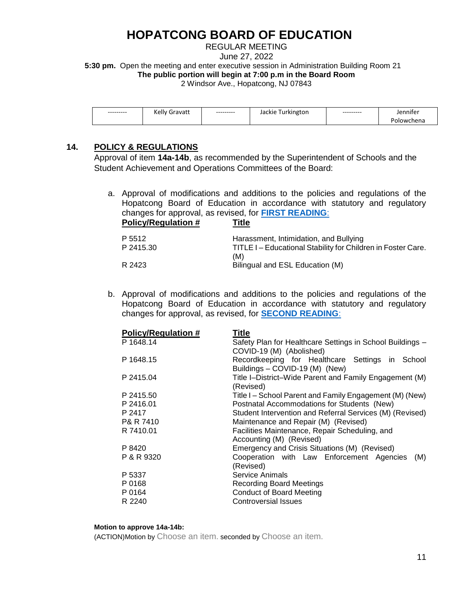REGULAR MEETING

June 27, 2022

**5:30 pm.** Open the meeting and enter executive session in Administration Building Room 21 **The public portion will begin at 7:00 p.m in the Board Room**

2 Windsor Ave., Hopatcong, NJ 07843

| --------- | $\cdots$<br>∴ellv∴<br>50.127<br>urdvdll | --------- | _<br>.<br>  urkington<br>301/10<br>JdCKIE | --------- | lannitor<br>Jennifel |
|-----------|-----------------------------------------|-----------|-------------------------------------------|-----------|----------------------|
|           |                                         |           |                                           |           | 'olowchena           |

### **14. POLICY & REGULATIONS**

Approval of item **14a-14b**, as recommended by the Superintendent of Schools and the Student Achievement and Operations Committees of the Board:

a. Approval of modifications and additions to the policies and regulations of the Hopatcong Board of Education in accordance with statutory and regulatory changes for approval, as revised, for **[FIRST READING](https://www.hopatcongschools.org/files/do/PnR/PnR%201.pdf)**: **Policy/Regulation # Title** P 5512 Harassment, Intimidation, and Bullying

| ے ان ت    | Haldssillerii, illiilliidailoil, allu Bullyliid              |
|-----------|--------------------------------------------------------------|
| P 2415.30 | TITLE I – Educational Stability for Children in Foster Care. |
|           | (M)                                                          |
| R 2423    | Bilingual and ESL Education (M)                              |
|           |                                                              |

b. Approval of modifications and additions to the policies and regulations of the Hopatcong Board of Education in accordance with statutory and regulatory changes for approval, as revised, for **SECOND [READING](https://www.hopatcongschools.org/files/do/PnR/PnR%202nd%20Reading%206.27.pdf)**:

| <b>Policy/Regulation #</b> | <u>Title</u>                                                                          |
|----------------------------|---------------------------------------------------------------------------------------|
| P 1648.14                  | Safety Plan for Healthcare Settings in School Buildings -<br>COVID-19 (M) (Abolished) |
| P 1648.15                  | Recordkeeping for Healthcare Settings in School<br>Buildings - COVID-19 (M) (New)     |
| P 2415.04                  | Title I-District-Wide Parent and Family Engagement (M)<br>(Revised)                   |
| P 2415.50                  | Title I – School Parent and Family Engagement (M) (New)                               |
| P 2416.01                  | Postnatal Accommodations for Students (New)                                           |
| P 2417                     | Student Intervention and Referral Services (M) (Revised)                              |
| P& R 7410                  | Maintenance and Repair (M) (Revised)                                                  |
| R 7410.01                  | Facilities Maintenance, Repair Scheduling, and<br>Accounting (M) (Revised)            |
| P 8420                     | Emergency and Crisis Situations (M) (Revised)                                         |
| P & R 9320                 | Cooperation with Law Enforcement Agencies<br>(M)<br>(Revised)                         |
| P 5337                     | Service Animals                                                                       |
| P 0168                     | <b>Recording Board Meetings</b>                                                       |
| P 0164                     | <b>Conduct of Board Meeting</b>                                                       |
| R 2240                     | Controversial Issues                                                                  |

**Motion to approve 14a-14b:**

(ACTION)Motion by Choose an item. seconded by Choose an item.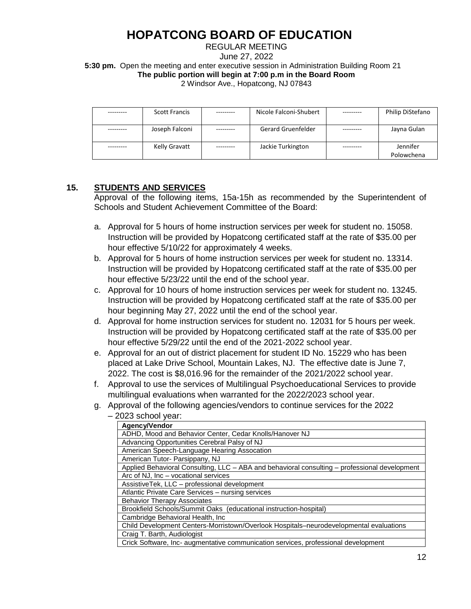### REGULAR MEETING

June 27, 2022

**5:30 pm.** Open the meeting and enter executive session in Administration Building Room 21 **The public portion will begin at 7:00 p.m in the Board Room**

2 Windsor Ave., Hopatcong, NJ 07843

| <b>Scott Francis</b> |           | Nicole Falconi-Shubert |        | Philip DiStefano       |
|----------------------|-----------|------------------------|--------|------------------------|
|                      |           |                        |        |                        |
| Joseph Falconi       |           | Gerard Gruenfelder     | ------ | Jayna Gulan            |
| Kelly Gravatt        | --------- | Jackie Turkington      |        | Jennifer<br>Polowchena |

## **15. STUDENTS AND SERVICES**

Approval of the following items, 15a-15h as recommended by the Superintendent of Schools and Student Achievement Committee of the Board:

- a. Approval for 5 hours of home instruction services per week for student no. 15058. Instruction will be provided by Hopatcong certificated staff at the rate of \$35.00 per hour effective 5/10/22 for approximately 4 weeks.
- b. Approval for 5 hours of home instruction services per week for student no. 13314. Instruction will be provided by Hopatcong certificated staff at the rate of \$35.00 per hour effective 5/23/22 until the end of the school year.
- c. Approval for 10 hours of home instruction services per week for student no. 13245. Instruction will be provided by Hopatcong certificated staff at the rate of \$35.00 per hour beginning May 27, 2022 until the end of the school year.
- d. Approval for home instruction services for student no. 12031 for 5 hours per week. Instruction will be provided by Hopatcong certificated staff at the rate of \$35.00 per hour effective 5/29/22 until the end of the 2021-2022 school year.
- e. Approval for an out of district placement for student ID No. 15229 who has been placed at Lake Drive School, Mountain Lakes, NJ. The effective date is June 7, 2022. The cost is \$8,016.96 for the remainder of the 2021/2022 school year.
- f. Approval to use the services of Multilingual Psychoeducational Services to provide multilingual evaluations when warranted for the 2022/2023 school year.
- g. Approval of the following agencies/vendors to continue services for the 2022

| - 2023 school year:                                                                           |
|-----------------------------------------------------------------------------------------------|
| Agency/Vendor                                                                                 |
| ADHD, Mood and Behavior Center, Cedar Knolls/Hanover NJ                                       |
| Advancing Opportunities Cerebral Palsy of NJ                                                  |
| American Speech-Language Hearing Assocation                                                   |
| American Tutor- Parsippany, NJ                                                                |
| Applied Behavioral Consulting, LLC - ABA and behavioral consulting - professional development |
| Arc of NJ, Inc - vocational services                                                          |
| Assistive Tek, LLC - professional development                                                 |
| Atlantic Private Care Services - nursing services                                             |
| <b>Behavior Therapy Associates</b>                                                            |
| Brookfield Schools/Summit Oaks (educational instruction-hospital)                             |
| Cambridge Behavioral Health, Inc                                                              |
| Child Development Centers-Morristown/Overlook Hospitals-neurodevelopmental evaluations        |
| Craig T. Barth, Audiologist                                                                   |
| Crick Software, Inc- augmentative communication services, professional development            |
|                                                                                               |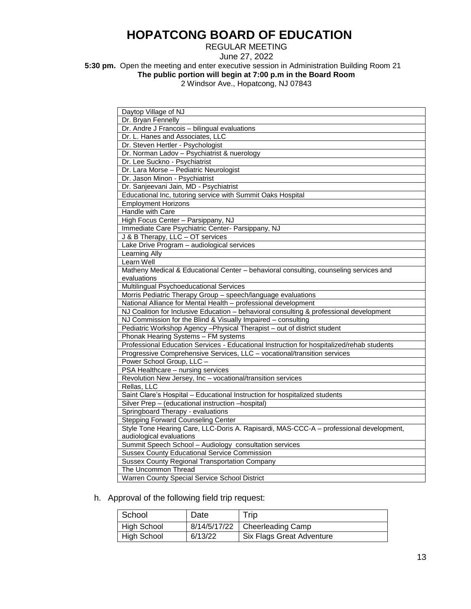REGULAR MEETING

June 27, 2022

**5:30 pm.** Open the meeting and enter executive session in Administration Building Room 21

**The public portion will begin at 7:00 p.m in the Board Room**

2 Windsor Ave., Hopatcong, NJ 07843

| Daytop Village of NJ                                                                      |
|-------------------------------------------------------------------------------------------|
| Dr. Bryan Fennelly                                                                        |
| Dr. Andre J Francois - bilingual evaluations                                              |
| Dr. L. Hanes and Associates, LLC                                                          |
| Dr. Steven Hertler - Psychologist                                                         |
| Dr. Norman Ladov - Psychiatrist & nuerology                                               |
| Dr. Lee Suckno - Psychiatrist                                                             |
| Dr. Lara Morse - Pediatric Neurologist                                                    |
| Dr. Jason Minon - Psychiatrist                                                            |
| Dr. Sanjeevani Jain, MD - Psychiatrist                                                    |
| Educational Inc, tutoring service with Summit Oaks Hospital                               |
| <b>Employment Horizons</b>                                                                |
| <b>Handle with Care</b>                                                                   |
| High Focus Center - Parsippany, NJ                                                        |
| Immediate Care Psychiatric Center- Parsippany, NJ                                         |
| J & B Therapy, LLC - OT services                                                          |
| Lake Drive Program - audiological services                                                |
| Learning Ally                                                                             |
| Learn Well                                                                                |
| Matheny Medical & Educational Center - behavioral consulting, counseling services and     |
| evaluations                                                                               |
| Multilingual Psychoeducational Services                                                   |
| Morris Pediatric Therapy Group - speech/language evaluations                              |
| National Alliance for Mental Health - professional development                            |
| NJ Coalition for Inclusive Education - behavioral consulting & professional development   |
| NJ Commission for the Blind & Visually Impaired - consulting                              |
| Pediatric Workshop Agency - Physical Therapist - out of district student                  |
| Phonak Hearing Systems - FM systems                                                       |
| Professional Education Services - Educational Instruction for hospitalized/rehab students |
| Progressive Comprehensive Services, LLC - vocational/transition services                  |
| Power School Group, LLC -                                                                 |
| PSA Healthcare - nursing services                                                         |
| Revolution New Jersey, Inc - vocational/transition services                               |
| Rellas, LLC                                                                               |
| Saint Clare's Hospital - Educational Instruction for hospitalized students                |
| Silver Prep - (educational instruction -hospital)                                         |
| Springboard Therapy - evaluations                                                         |
| <b>Stepping Forward Counseling Center</b>                                                 |
| Style Tone Hearing Care, LLC-Doris A. Rapisardi, MAS-CCC-A - professional development,    |
| audiological evaluations                                                                  |
| Summit Speech School - Audiology consultation services                                    |
| <b>Sussex County Educational Service Commission</b>                                       |
| <b>Sussex County Regional Transportation Company</b>                                      |
| The Uncommon Thread                                                                       |
| Warren County Special Service School District                                             |

h. Approval of the following field trip request:

| School             | Date    | Trip                             |
|--------------------|---------|----------------------------------|
| <b>High School</b> |         | 8/14/5/17/22   Cheerleading Camp |
| High School        | 6/13/22 | Six Flags Great Adventure        |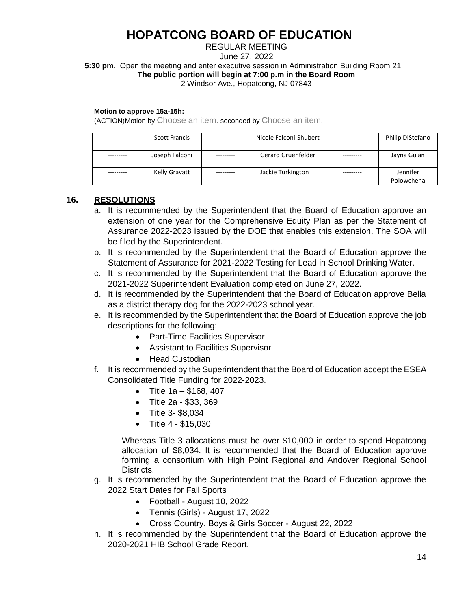## REGULAR MEETING

June 27, 2022

**5:30 pm.** Open the meeting and enter executive session in Administration Building Room 21

**The public portion will begin at 7:00 p.m in the Board Room**

2 Windsor Ave., Hopatcong, NJ 07843

#### **Motion to approve 15a-15h:**

(ACTION)Motion by Choose an item. seconded by Choose an item.

| <b>Scott Francis</b> |          | Nicole Falconi-Shubert | Philip DiStefano       |
|----------------------|----------|------------------------|------------------------|
| Joseph Falconi       | -------- | Gerard Gruenfelder     | Jayna Gulan            |
| Kelly Gravatt        |          | Jackie Turkington      | Jennifer<br>Polowchena |

### **16. RESOLUTIONS**

- a. It is recommended by the Superintendent that the Board of Education approve an extension of one year for the Comprehensive Equity Plan as per the Statement of Assurance 2022-2023 issued by the DOE that enables this extension. The SOA will be filed by the Superintendent.
- b. It is recommended by the Superintendent that the Board of Education approve the Statement of Assurance for 2021-2022 Testing for Lead in School Drinking Water.
- c. It is recommended by the Superintendent that the Board of Education approve the 2021-2022 Superintendent Evaluation completed on June 27, 2022.
- d. It is recommended by the Superintendent that the Board of Education approve Bella as a district therapy dog for the 2022-2023 school year.
- e. It is recommended by the Superintendent that the Board of Education approve the job descriptions for the following:
	- Part-Time Facilities Supervisor
	- Assistant to Facilities Supervisor
	- Head Custodian
- f. It is recommended by the Superintendent that the Board of Education accept the ESEA Consolidated Title Funding for 2022-2023.
	- Title  $1a $168, 407$
	- Title 2a \$33, 369
	- Title 3- \$8,034
	- Title 4 \$15,030

Whereas Title 3 allocations must be over \$10,000 in order to spend Hopatcong allocation of \$8,034. It is recommended that the Board of Education approve forming a consortium with High Point Regional and Andover Regional School Districts.

- g. It is recommended by the Superintendent that the Board of Education approve the 2022 Start Dates for Fall Sports
	- Football August 10, 2022
	- Tennis (Girls) August 17, 2022
	- Cross Country, Boys & Girls Soccer August 22, 2022
- h. It is recommended by the Superintendent that the Board of Education approve the 2020-2021 HIB School Grade Report.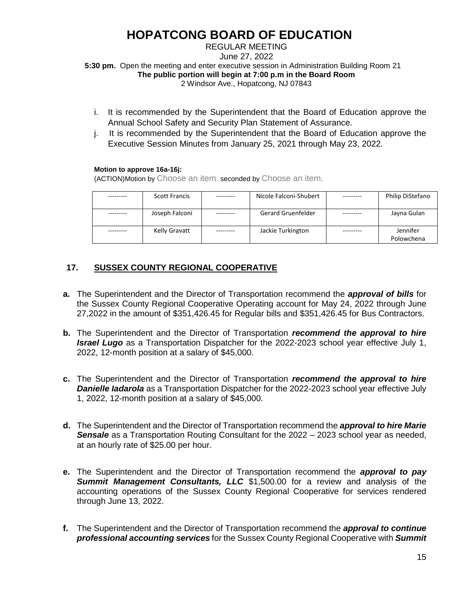REGULAR MEETING

June 27, 2022

**5:30 pm.** Open the meeting and enter executive session in Administration Building Room 21 **The public portion will begin at 7:00 p.m in the Board Room**

2 Windsor Ave., Hopatcong, NJ 07843

- i. It is recommended by the Superintendent that the Board of Education approve the Annual School Safety and Security Plan Statement of Assurance.
- j. It is recommended by the Superintendent that the Board of Education approve the Executive Session Minutes from January 25, 2021 through May 23, 2022.

### **Motion to approve 16a-16j:**

(ACTION)Motion by Choose an item. seconded by Choose an item.

| <b>Scott Francis</b> | Nicole Falconi-Shubert    | Philip DiStefano |
|----------------------|---------------------------|------------------|
|                      |                           |                  |
| Joseph Falconi       | <b>Gerard Gruenfelder</b> | Jayna Gulan      |
|                      |                           |                  |
| Kelly Gravatt        | Jackie Turkington         | Jennifer         |
|                      |                           | Polowchena       |

## **17. SUSSEX COUNTY REGIONAL COOPERATIVE**

- **a.** The Superintendent and the Director of Transportation recommend the *approval of bills* for the Sussex County Regional Cooperative Operating account for May 24, 2022 through June 27,2022 in the amount of \$351,426.45 for Regular bills and \$351,426.45 for Bus Contractors.
- **b.** The Superintendent and the Director of Transportation *recommend the approval to hire Israel Lugo* as a Transportation Dispatcher for the 2022-2023 school year effective July 1, 2022, 12-month position at a salary of \$45,000.
- **c.** The Superintendent and the Director of Transportation *recommend the approval to hire Danielle Iadarola* as a Transportation Dispatcher for the 2022-2023 school year effective July 1, 2022, 12-month position at a salary of \$45,000.
- **d.** The Superintendent and the Director of Transportation recommend the *approval to hire Marie Sensale* as a Transportation Routing Consultant for the 2022 – 2023 school year as needed, at an hourly rate of \$25.00 per hour.
- **e.** The Superintendent and the Director of Transportation recommend the *approval to pay*  **Summit Management Consultants, LLC** \$1,500.00 for a review and analysis of the accounting operations of the Sussex County Regional Cooperative for services rendered through June 13, 2022.
- **f.** The Superintendent and the Director of Transportation recommend the *approval to continue professional accounting services* for the Sussex County Regional Cooperative with *Summit*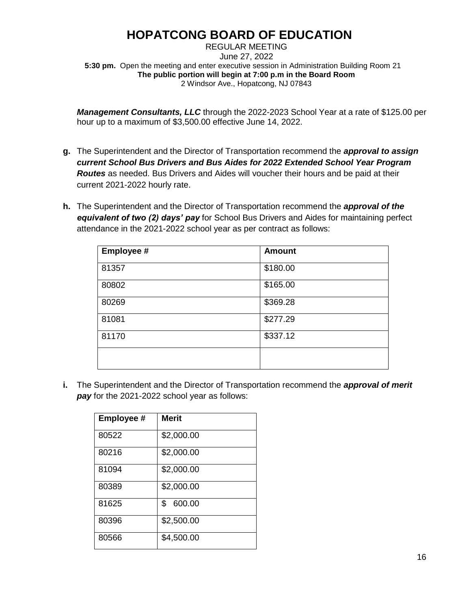REGULAR MEETING June 27, 2022 **5:30 pm.** Open the meeting and enter executive session in Administration Building Room 21 **The public portion will begin at 7:00 p.m in the Board Room** 2 Windsor Ave., Hopatcong, NJ 07843

*Management Consultants, LLC* through the 2022-2023 School Year at a rate of \$125.00 per hour up to a maximum of \$3,500.00 effective June 14, 2022.

- **g.** The Superintendent and the Director of Transportation recommend the *approval to assign current School Bus Drivers and Bus Aides for 2022 Extended School Year Program Routes* as needed. Bus Drivers and Aides will voucher their hours and be paid at their current 2021-2022 hourly rate.
- **h.** The Superintendent and the Director of Transportation recommend the *approval of the equivalent of two (2) days' pay* for School Bus Drivers and Aides for maintaining perfect attendance in the 2021-2022 school year as per contract as follows:

| <b>Employee #</b> | <b>Amount</b> |
|-------------------|---------------|
| 81357             | \$180.00      |
| 80802             | \$165.00      |
| 80269             | \$369.28      |
| 81081             | \$277.29      |
| 81170             | \$337.12      |
|                   |               |

**i.** The Superintendent and the Director of Transportation recommend the *approval of merit pay* for the 2021-2022 school year as follows:

| Employee # | <b>Merit</b> |
|------------|--------------|
| 80522      | \$2,000.00   |
| 80216      | \$2,000.00   |
| 81094      | \$2,000.00   |
| 80389      | \$2,000.00   |
| 81625      | 600.00<br>\$ |
| 80396      | \$2,500.00   |
| 80566      | \$4,500.00   |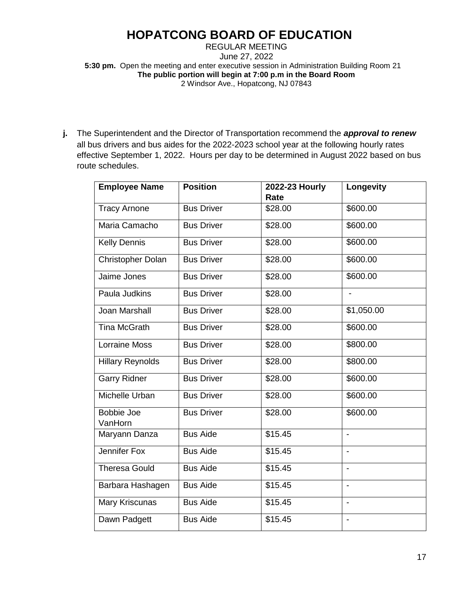REGULAR MEETING June 27, 2022 **5:30 pm.** Open the meeting and enter executive session in Administration Building Room 21 **The public portion will begin at 7:00 p.m in the Board Room** 2 Windsor Ave., Hopatcong, NJ 07843

**j.** The Superintendent and the Director of Transportation recommend the *approval to renew* all bus drivers and bus aides for the 2022-2023 school year at the following hourly rates effective September 1, 2022. Hours per day to be determined in August 2022 based on bus route schedules.

| <b>Employee Name</b>         | <b>Position</b>   | 2022-23 Hourly<br>Rate | Longevity                |
|------------------------------|-------------------|------------------------|--------------------------|
| <b>Tracy Arnone</b>          | <b>Bus Driver</b> | \$28.00                | \$600.00                 |
| Maria Camacho                | <b>Bus Driver</b> | \$28.00                | \$600.00                 |
| <b>Kelly Dennis</b>          | <b>Bus Driver</b> | \$28.00                | \$600.00                 |
| Christopher Dolan            | <b>Bus Driver</b> | \$28.00                | \$600.00                 |
| Jaime Jones                  | <b>Bus Driver</b> | \$28.00                | \$600.00                 |
| Paula Judkins                | <b>Bus Driver</b> | \$28.00                |                          |
| <b>Joan Marshall</b>         | <b>Bus Driver</b> | \$28.00                | \$1,050.00               |
| <b>Tina McGrath</b>          | <b>Bus Driver</b> | \$28.00                | \$600.00                 |
| <b>Lorraine Moss</b>         | <b>Bus Driver</b> | \$28.00                | \$800.00                 |
| <b>Hillary Reynolds</b>      | <b>Bus Driver</b> | \$28.00                | \$800.00                 |
| <b>Garry Ridner</b>          | <b>Bus Driver</b> | \$28.00                | \$600.00                 |
| Michelle Urban               | <b>Bus Driver</b> | \$28.00                | \$600.00                 |
| <b>Bobbie Joe</b><br>VanHorn | <b>Bus Driver</b> | \$28.00                | \$600.00                 |
| Maryann Danza                | <b>Bus Aide</b>   | \$15.45                | $\overline{\phantom{a}}$ |
| Jennifer Fox                 | Bus Aide          | \$15.45                | $\overline{\phantom{a}}$ |
| <b>Theresa Gould</b>         | <b>Bus Aide</b>   | \$15.45                | $\overline{\phantom{a}}$ |
| Barbara Hashagen             | <b>Bus Aide</b>   | \$15.45                |                          |
| Mary Kriscunas               | <b>Bus Aide</b>   | \$15.45                |                          |
| Dawn Padgett                 | <b>Bus Aide</b>   | \$15.45                |                          |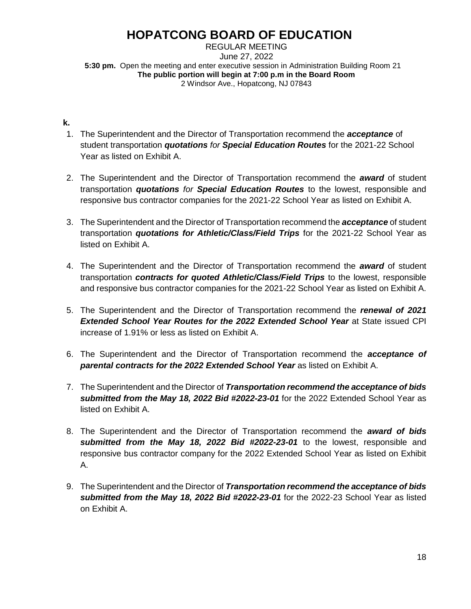REGULAR MEETING June 27, 2022 **5:30 pm.** Open the meeting and enter executive session in Administration Building Room 21 **The public portion will begin at 7:00 p.m in the Board Room** 2 Windsor Ave., Hopatcong, NJ 07843

## **k.**

- 1. The Superintendent and the Director of Transportation recommend the *acceptance* of student transportation *quotations for Special Education Routes* for the 2021-22 School Year as listed on Exhibit A.
- 2. The Superintendent and the Director of Transportation recommend the *award* of student transportation *quotations for Special Education Routes* to the lowest, responsible and responsive bus contractor companies for the 2021-22 School Year as listed on Exhibit A.
- 3. The Superintendent and the Director of Transportation recommend the *acceptance* of student transportation *quotations for Athletic/Class/Field Trips* for the 2021-22 School Year as listed on Exhibit A.
- 4. The Superintendent and the Director of Transportation recommend the *award* of student transportation *contracts for quoted Athletic/Class/Field Trips* to the lowest, responsible and responsive bus contractor companies for the 2021-22 School Year as listed on Exhibit A.
- 5. The Superintendent and the Director of Transportation recommend the *renewal of 2021 Extended School Year Routes for the 2022 Extended School Year* at State issued CPI increase of 1.91% or less as listed on Exhibit A.
- 6. The Superintendent and the Director of Transportation recommend the *acceptance of*  **parental contracts for the 2022 Extended School Year** as listed on Exhibit A.
- 7. The Superintendent and the Director of *Transportation recommend the acceptance of bids submitted from the May 18, 2022 Bid #2022-23-01* for the 2022 Extended School Year as listed on Exhibit A.
- 8. The Superintendent and the Director of Transportation recommend the *award of bids submitted from the May 18, 2022 Bid #2022-23-01* to the lowest, responsible and responsive bus contractor company for the 2022 Extended School Year as listed on Exhibit A.
- 9. The Superintendent and the Director of *Transportation recommend the acceptance of bids submitted from the May 18, 2022 Bid #2022-23-01* for the 2022-23 School Year as listed on Exhibit A.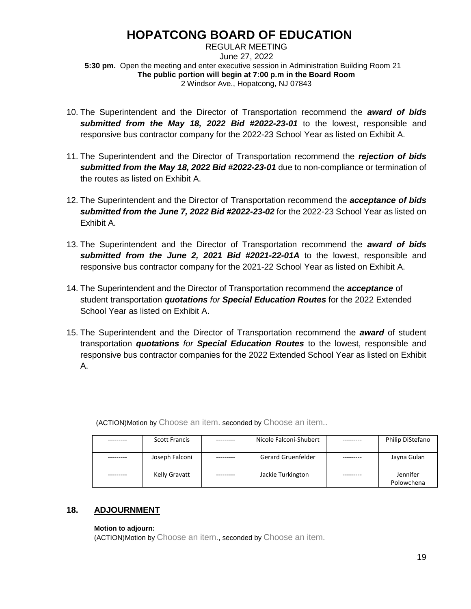REGULAR MEETING June 27, 2022 **5:30 pm.** Open the meeting and enter executive session in Administration Building Room 21 **The public portion will begin at 7:00 p.m in the Board Room** 2 Windsor Ave., Hopatcong, NJ 07843

- 10. The Superintendent and the Director of Transportation recommend the *award of bids submitted from the May 18, 2022 Bid #2022-23-01* to the lowest, responsible and responsive bus contractor company for the 2022-23 School Year as listed on Exhibit A.
- 11. The Superintendent and the Director of Transportation recommend the *rejection of bids submitted from the May 18, 2022 Bid #2022-23-01* due to non-compliance or termination of the routes as listed on Exhibit A.
- 12. The Superintendent and the Director of Transportation recommend the *acceptance of bids submitted from the June 7, 2022 Bid #2022-23-02* for the 2022-23 School Year as listed on Exhibit A.
- 13. The Superintendent and the Director of Transportation recommend the *award of bids submitted from the June 2, 2021 Bid #2021-22-01A* to the lowest, responsible and responsive bus contractor company for the 2021-22 School Year as listed on Exhibit A.
- 14. The Superintendent and the Director of Transportation recommend the *acceptance* of student transportation *quotations for Special Education Routes* for the 2022 Extended School Year as listed on Exhibit A.
- 15. The Superintendent and the Director of Transportation recommend the *award* of student transportation *quotations for Special Education Routes* to the lowest, responsible and responsive bus contractor companies for the 2022 Extended School Year as listed on Exhibit A.

(ACTION)Motion by Choose an item. seconded by Choose an item..

| <b>Scott Francis</b> |          | Nicole Falconi-Shubert    | Philip DiStefano |
|----------------------|----------|---------------------------|------------------|
|                      |          |                           |                  |
| Joseph Falconi       |          | <b>Gerard Gruenfelder</b> | Jayna Gulan      |
|                      |          |                           |                  |
| Kelly Gravatt        | -------- | Jackie Turkington         | Jennifer         |
|                      |          |                           | Polowchena       |

## **18. ADJOURNMENT**

### **Motion to adjourn:**

(ACTION)Motion by Choose an item., seconded by Choose an item.